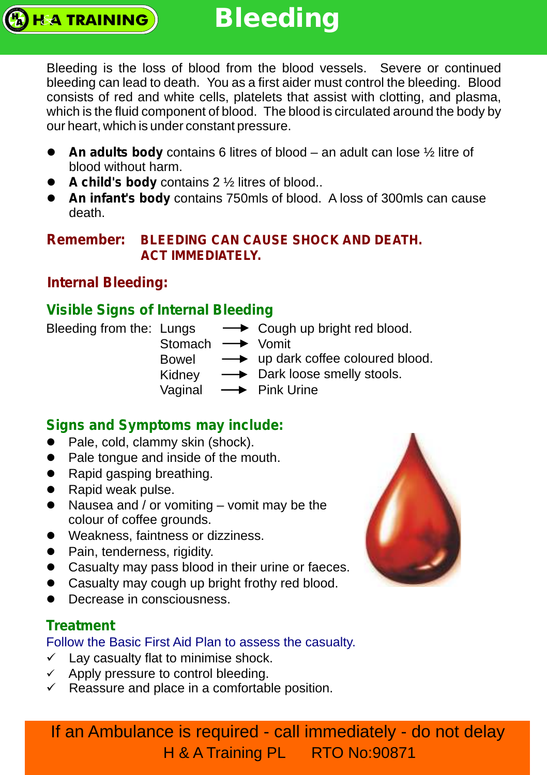Bleeding is the loss of blood from the blood vessels. Severe or continued bleeding can lead to death. You as a first aider must control the bleeding. Blood consists of red and white cells, platelets that assist with clotting, and plasma, which is the fluid component of blood. The blood is circulated around the body by our heart, which is under constant pressure.

- An adults body contains 6 litres of blood an adult can lose ½ litre of blood without harm.
- **A child's body** contains 2 ½ litres of blood..
- **An infant's body** contains 750mls of blood. A loss of 300mls can cause death.

#### **Remember: BLEEDING CAN CAUSE SHOCK AND DEATH. ACT IMMEDIATELY.**

## **Internal Bleeding:**

**HA TRAINING** 

## **Visible Signs of Internal Bleeding**

Bleeding from the: Lungs

- Stomach Vomit **← Cough up bright red blood.**
- Bowel up dark coffee coloured blood.
- Kidney Dark loose smelly stools.
- Vaginal  $\rightarrow$  Pink Urine

#### **Signs and Symptoms may include:**

- Pale, cold, clammy skin (shock).
- Pale tongue and inside of the mouth.
- Rapid gasping breathing.
- Rapid weak pulse.
- Nausea and / or vomiting vomit may be the colour of coffee grounds.
- Weakness, faintness or dizziness.
- Pain, tenderness, rigidity.
- Casualty may pass blood in their urine or faeces.
- Casualty may cough up bright frothy red blood.
- Decrease in consciousness.

## **Treatment**

#### Follow the Basic First Aid Plan to assess the casualty.

- $\checkmark$  Lay casualty flat to minimise shock.
- $\checkmark$  Apply pressure to control bleeding.
- $\checkmark$  Reassure and place in a comfortable position.



If an Ambulance is required - call immediately - do not delay H & A Training PL RTO No:90871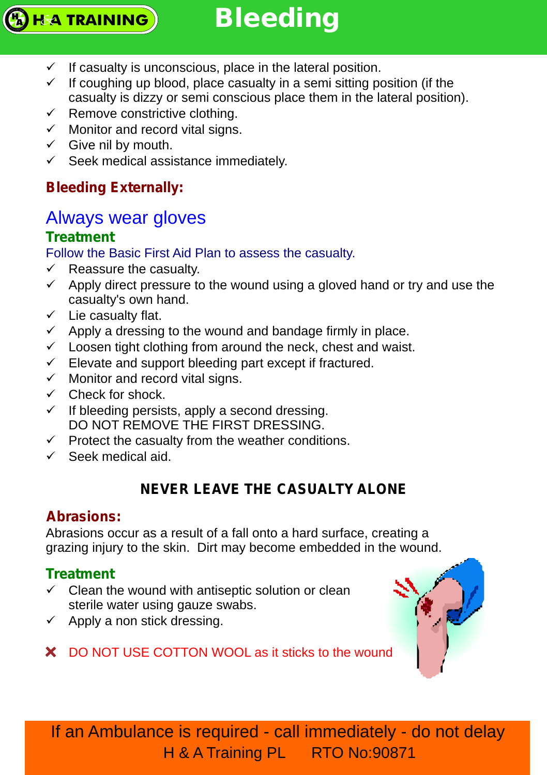

- $\checkmark$  If casualty is unconscious, place in the lateral position.
- $\checkmark$  If coughing up blood, place casualty in a semi sitting position (if the casualty is dizzy or semi conscious place them in the lateral position).
- $\checkmark$  Remove constrictive clothing.
- $\checkmark$  Monitor and record vital signs.
- $\checkmark$  Give nil by mouth.
- $\checkmark$  Seek medical assistance immediately.

## **Bleeding Externally:**

## Always wear gloves

## **Treatment**

Follow the Basic First Aid Plan to assess the casualty.

- $\checkmark$  Reassure the casualty.
- $\checkmark$  Apply direct pressure to the wound using a gloved hand or try and use the casualty's own hand.
- $\checkmark$  Lie casualty flat.
- $\checkmark$  Apply a dressing to the wound and bandage firmly in place.
- $\checkmark$  Loosen tight clothing from around the neck, chest and waist.
- $\checkmark$  Elevate and support bleeding part except if fractured.
- $\checkmark$  Monitor and record vital signs.
- $\checkmark$  Check for shock.
- $\checkmark$  If bleeding persists, apply a second dressing. DO NOT REMOVE THE FIRST DRESSING.
- $\checkmark$  Protect the casualty from the weather conditions.
- $\checkmark$  Seek medical aid.

## **NEVER LEAVE THE CASUALTY ALONE**

## **Abrasions:**

Abrasions occur as a result of a fall onto a hard surface, creating a grazing injury to the skin. Dirt may become embedded in the wound.

## **Treatment**

- $\checkmark$  Clean the wound with antiseptic solution or clean sterile water using gauze swabs.
- $\checkmark$  Apply a non stick dressing.
- X DO NOT USE COTTON WOOL as it sticks to the wound



If an Ambulance is required - call immediately - do not delay H & A Training PL RTO No:90871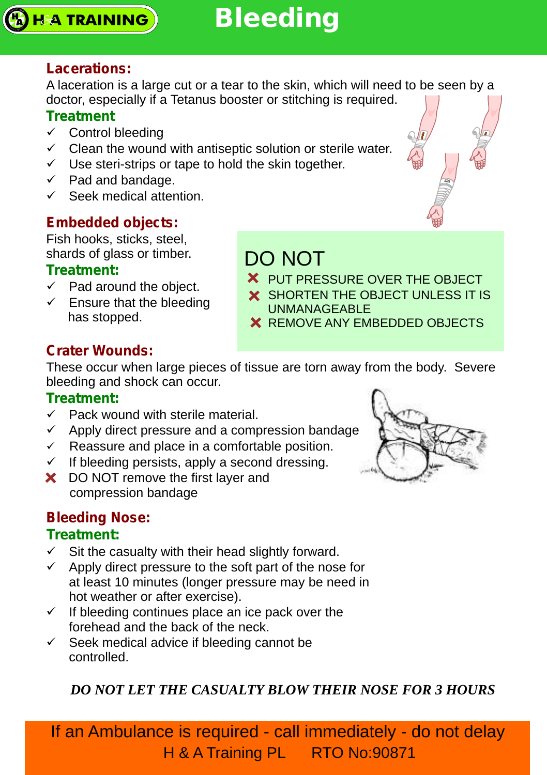

### **Lacerations:**

A laceration is a large cut or a tear to the skin, which will need to be seen by a doctor, especially if a Tetanus booster or stitching is required.

#### **Treatment**

- $\checkmark$  Control bleeding
- $\checkmark$  Clean the wound with antiseptic solution or sterile water.
- $\checkmark$  Use steri-strips or tape to hold the skin together.
- $\checkmark$  Pad and bandage.
- $\checkmark$  Seek medical attention.

## **Embedded objects:**

Fish hooks, sticks, steel, shards of glass or timber.

#### **Treatment:**

- $\checkmark$  Pad around the object.
- $\checkmark$  Ensure that the bleeding has stopped.

## DO NOT

- X PUT PRESSURE OVER THE OBJECT
- X SHORTEN THE OBJECT UNLESS IT IS
- UNMANAGEABLE
- **X** REMOVE ANY EMBEDDED OBJECTS

## **Crater Wounds:**

These occur when large pieces of tissue are torn away from the body. Severe bleeding and shock can occur.

#### **Treatment:**

- $\checkmark$  Pack wound with sterile material.
- $\checkmark$  Apply direct pressure and a compression bandage.
- $\checkmark$  Reassure and place in a comfortable position.
- $\checkmark$  If bleeding persists, apply a second dressing.
- X DO NOT remove the first layer and compression bandage

## **Bleeding Nose:**

#### **Treatment:**

- $\checkmark$  Sit the casualty with their head slightly forward.
- $\checkmark$  Apply direct pressure to the soft part of the nose for at least 10 minutes (longer pressure may be need in hot weather or after exercise).
- $\checkmark$  If bleeding continues place an ice pack over the forehead and the back of the neck.
- $\checkmark$  Seek medical advice if bleeding cannot be controlled.

## *DO NOT LET THE CASUALTY BLOW THEIR NOSE FOR 3 HOURS*

If an Ambulance is required - call immediately - do not delay H & A Training PL RTO No:90871